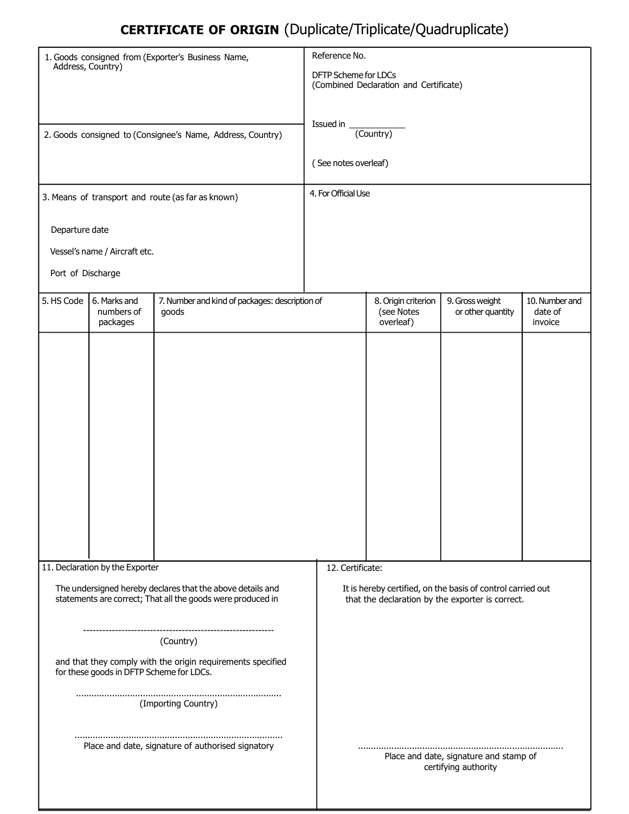## **CERTIFICATE OF ORIGIN** (Duplicate/Triplicate/Quadruplicate)

| 1. Goods consigned from (Exporter's Business Name,<br>Address, Country)                                         |                                          |                                                                                                                                                                                                                              | Reference No.<br>DFTP Scheme for LDCs<br>(Combined Declaration and Certificate)                                 |                                                                |                                      |                                      |  |
|-----------------------------------------------------------------------------------------------------------------|------------------------------------------|------------------------------------------------------------------------------------------------------------------------------------------------------------------------------------------------------------------------------|-----------------------------------------------------------------------------------------------------------------|----------------------------------------------------------------|--------------------------------------|--------------------------------------|--|
| 2. Goods consigned to (Consignee's Name, Address, Country)                                                      |                                          |                                                                                                                                                                                                                              | Issued in<br>(Country)                                                                                          |                                                                |                                      |                                      |  |
|                                                                                                                 |                                          |                                                                                                                                                                                                                              | (See notes overleaf)                                                                                            |                                                                |                                      |                                      |  |
|                                                                                                                 |                                          | 3. Means of transport and route (as far as known)                                                                                                                                                                            | 4. For Official Use                                                                                             |                                                                |                                      |                                      |  |
| Departure date                                                                                                  |                                          |                                                                                                                                                                                                                              |                                                                                                                 |                                                                |                                      |                                      |  |
|                                                                                                                 | Vessel's name / Aircraft etc.            |                                                                                                                                                                                                                              |                                                                                                                 |                                                                |                                      |                                      |  |
| Port of Discharge                                                                                               |                                          |                                                                                                                                                                                                                              |                                                                                                                 |                                                                |                                      |                                      |  |
| 5. HS Code<br>7. Number and kind of packages: description of<br>6. Marks and<br>numbers of<br>goods<br>packages |                                          |                                                                                                                                                                                                                              |                                                                                                                 | 8. Origin criterion<br>(see Notes<br>overleaf)                 | 9. Gross weight<br>or other quantity | 10. Number and<br>date of<br>invoice |  |
|                                                                                                                 | 11. Declaration by the Exporter          |                                                                                                                                                                                                                              | 12. Certificate:                                                                                                |                                                                |                                      |                                      |  |
|                                                                                                                 | for these goods in DFTP Scheme for LDCs. | The undersigned hereby declares that the above details and<br>statements are correct; That all the goods were produced in<br>(Country)<br>and that they comply with the origin requirements specified<br>(Importing Country) | It is hereby certified, on the basis of control carried out<br>that the declaration by the exporter is correct. |                                                                |                                      |                                      |  |
|                                                                                                                 |                                          | Place and date, signature of authorised signatory                                                                                                                                                                            |                                                                                                                 | Place and date, signature and stamp of<br>certifying authority |                                      |                                      |  |